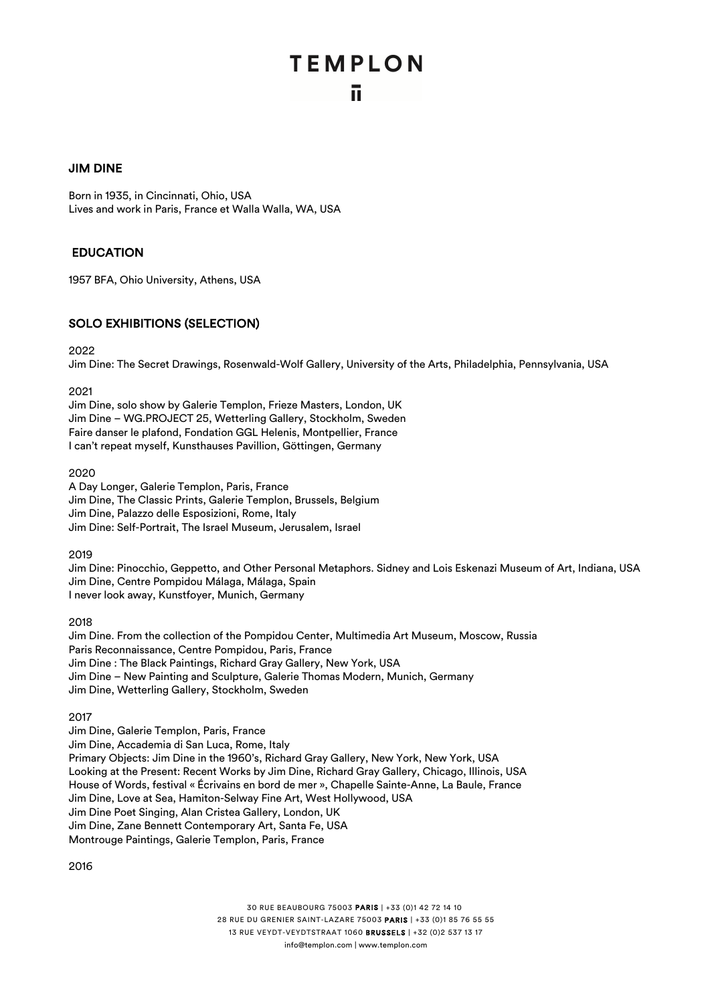#### JIM DINE

Born in 1935, in Cincinnati, Ohio, USA Lives and work in Paris, France et Walla Walla, WA, USA

#### EDUCATION

1957 BFA, Ohio University, Athens, USA

#### SOLO EXHIBITIONS (SELECTION)

2022

Jim Dine: The Secret Drawings, Rosenwald-Wolf Gallery, University of the Arts, Philadelphia, Pennsylvania, USA

2021

Jim Dine, solo show by Galerie Templon, Frieze Masters, London, UK Jim Dine – WG.PROJECT 25, Wetterling Gallery, Stockholm, Sweden Faire danser le plafond, Fondation GGL Helenis, Montpellier, France I can't repeat myself, Kunsthauses Pavillion, Göttingen, Germany

#### 2020

A Day Longer, Galerie Templon, Paris, France Jim Dine, The Classic Prints, Galerie Templon, Brussels, Belgium Jim Dine, Palazzo delle Esposizioni, Rome, Italy Jim Dine: Self-Portrait, The Israel Museum, Jerusalem, Israel

2019

Jim Dine: Pinocchio, Geppetto, and Other Personal Metaphors. Sidney and Lois Eskenazi Museum of Art, Indiana, USA Jim Dine, Centre Pompidou Málaga, Málaga, Spain I never look away, Kunstfoyer, Munich, Germany

2018

Jim Dine. From the collection of the Pompidou Center, Multimedia Art Museum, Moscow, Russia Paris Reconnaissance, Centre Pompidou, Paris, France Jim Dine : The Black Paintings, Richard Gray Gallery, New York, USA Jim Dine – New Painting and Sculpture, Galerie Thomas Modern, Munich, Germany Jim Dine, Wetterling Gallery, Stockholm, Sweden

2017

Jim Dine, Galerie Templon, Paris, France Jim Dine, Accademia di San Luca, Rome, Italy Primary Objects: Jim Dine in the 1960's, Richard Gray Gallery, New York, New York, USA Looking at the Present: Recent Works by Jim Dine, Richard Gray Gallery, Chicago, Illinois, USA House of Words, festival « Écrivains en bord de mer », Chapelle Sainte-Anne, La Baule, France Jim Dine, Love at Sea, Hamiton-Selway Fine Art, West Hollywood, USA Jim Dine Poet Singing, Alan Cristea Gallery, London, UK Jim Dine, Zane Bennett Contemporary Art, Santa Fe, USA Montrouge Paintings, Galerie Templon, Paris, France

2016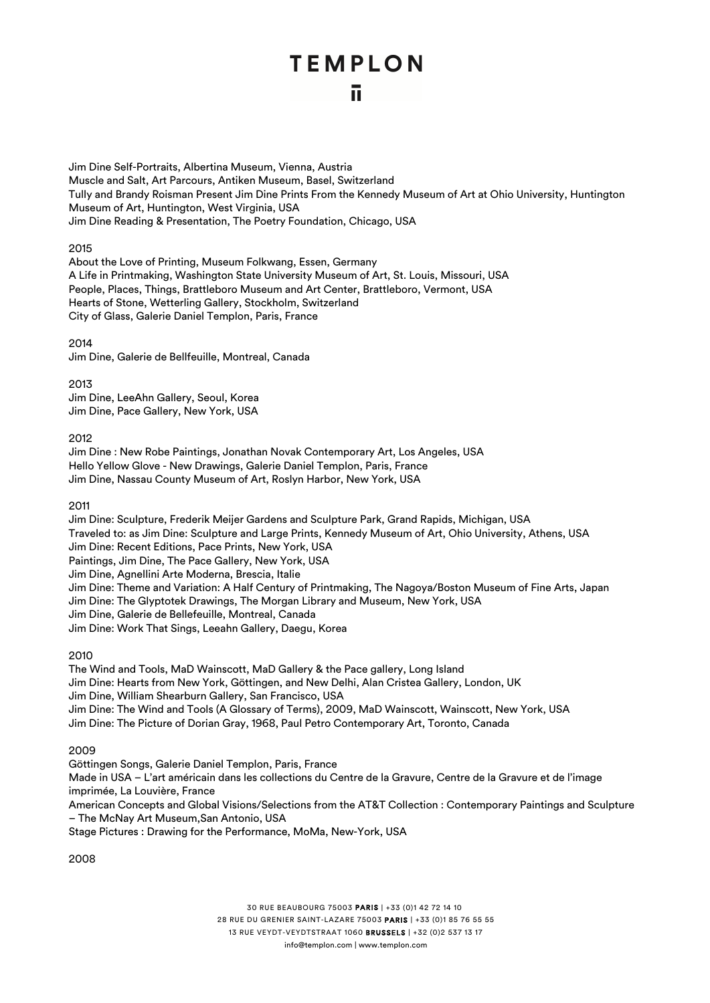#### ū.

Jim Dine Self-Portraits, Albertina Museum, Vienna, Austria Muscle and Salt, Art Parcours, Antiken Museum, Basel, Switzerland Tully and Brandy Roisman Present Jim Dine Prints From the Kennedy Museum of Art at Ohio University, Huntington Museum of Art, Huntington, West Virginia, USA Jim Dine Reading & Presentation, The Poetry Foundation, Chicago, USA

#### 2015

About the Love of Printing, Museum Folkwang, Essen, Germany A Life in Printmaking, Washington State University Museum of Art, St. Louis, Missouri, USA People, Places, Things, Brattleboro Museum and Art Center, Brattleboro, Vermont, USA Hearts of Stone, Wetterling Gallery, Stockholm, Switzerland City of Glass, Galerie Daniel Templon, Paris, France

2014

Jim Dine, Galerie de Bellfeuille, Montreal, Canada

2013

Jim Dine, LeeAhn Gallery, Seoul, Korea Jim Dine, Pace Gallery, New York, USA

2012

Jim Dine : New Robe Paintings, Jonathan Novak Contemporary Art, Los Angeles, USA Hello Yellow Glove - New Drawings, Galerie Daniel Templon, Paris, France Jim Dine, Nassau County Museum of Art, Roslyn Harbor, New York, USA

2011

Jim Dine: Sculpture, Frederik Meijer Gardens and Sculpture Park, Grand Rapids, Michigan, USA Traveled to: as Jim Dine: Sculpture and Large Prints, Kennedy Museum of Art, Ohio University, Athens, USA Jim Dine: Recent Editions, Pace Prints, New York, USA Paintings, Jim Dine, The Pace Gallery, New York, USA Jim Dine, Agnellini Arte Moderna, Brescia, Italie Jim Dine: Theme and Variation: A Half Century of Printmaking, The Nagoya/Boston Museum of Fine Arts, Japan Jim Dine: The Glyptotek Drawings, The Morgan Library and Museum, New York, USA Jim Dine, Galerie de Bellefeuille, Montreal, Canada Jim Dine: Work That Sings, Leeahn Gallery, Daegu, Korea

2010

The Wind and Tools, MaD Wainscott, MaD Gallery & the Pace gallery, Long Island Jim Dine: Hearts from New York, Göttingen, and New Delhi, Alan Cristea Gallery, London, UK Jim Dine, William Shearburn Gallery, San Francisco, USA Jim Dine: The Wind and Tools (A Glossary of Terms), 2009, MaD Wainscott, Wainscott, New York, USA Jim Dine: The Picture of Dorian Gray, 1968, Paul Petro Contemporary Art, Toronto, Canada

2009

Göttingen Songs, Galerie Daniel Templon, Paris, France Made in USA – L'art américain dans les collections du Centre de la Gravure, Centre de la Gravure et de l'image imprimée, La Louvière, France American Concepts and Global Visions/Selections from the AT&T Collection : Contemporary Paintings and Sculpture – The McNay Art Museum,San Antonio, USA Stage Pictures : Drawing for the Performance, MoMa, New-York, USA

2008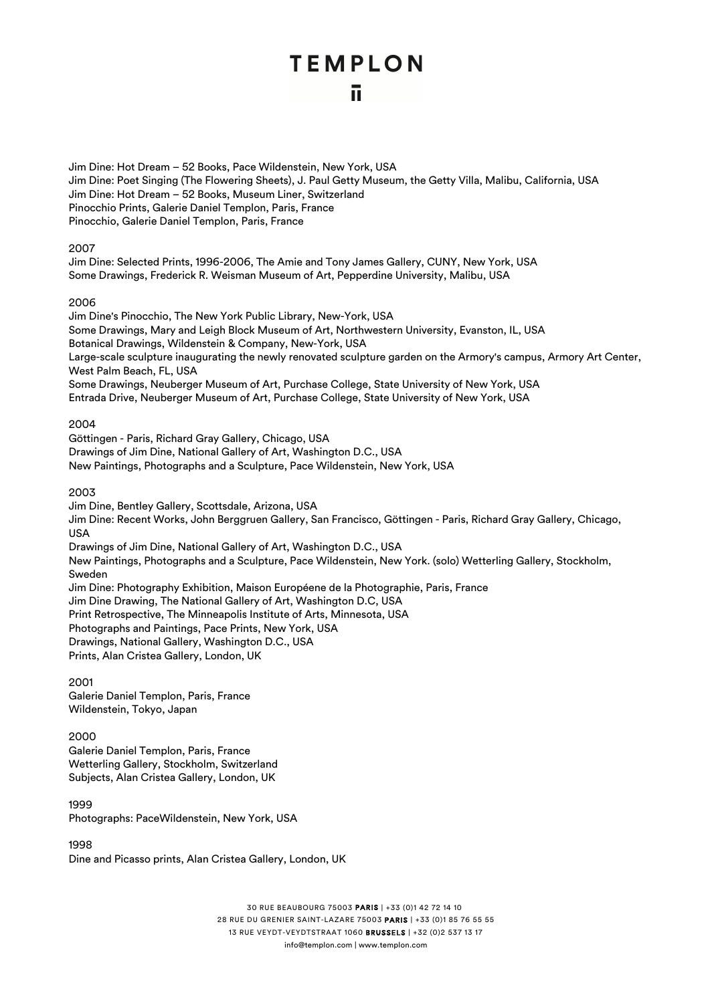Jim Dine: Hot Dream – 52 Books, Pace Wildenstein, New York, USA Jim Dine: Poet Singing (The Flowering Sheets), J. Paul Getty Museum, the Getty Villa, Malibu, California, USA Jim Dine: Hot Dream – 52 Books, Museum Liner, Switzerland Pinocchio Prints, Galerie Daniel Templon, Paris, France Pinocchio, Galerie Daniel Templon, Paris, France

#### 2007

Jim Dine: Selected Prints, 1996-2006, The Amie and Tony James Gallery, CUNY, New York, USA Some Drawings, Frederick R. Weisman Museum of Art, Pepperdine University, Malibu, USA

#### 2006

Jim Dine's Pinocchio, The New York Public Library, New-York, USA Some Drawings, Mary and Leigh Block Museum of Art, Northwestern University, Evanston, IL, USA Botanical Drawings, Wildenstein & Company, New-York, USA Large-scale sculpture inaugurating the newly renovated sculpture garden on the Armory's campus, Armory Art Center, West Palm Beach, FL, USA Some Drawings, Neuberger Museum of Art, Purchase College, State University of New York, USA Entrada Drive, Neuberger Museum of Art, Purchase College, State University of New York, USA

#### 2004

Göttingen - Paris, Richard Gray Gallery, Chicago, USA Drawings of Jim Dine, National Gallery of Art, Washington D.C., USA New Paintings, Photographs and a Sculpture, Pace Wildenstein, New York, USA

#### 2003

Jim Dine, Bentley Gallery, Scottsdale, Arizona, USA Jim Dine: Recent Works, John Berggruen Gallery, San Francisco, Göttingen - Paris, Richard Gray Gallery, Chicago, USA Drawings of Jim Dine, National Gallery of Art, Washington D.C., USA New Paintings, Photographs and a Sculpture, Pace Wildenstein, New York. (solo) Wetterling Gallery, Stockholm, Sweden Jim Dine: Photography Exhibition, Maison Européene de la Photographie, Paris, France Jim Dine Drawing, The National Gallery of Art, Washington D.C, USA Print Retrospective, The Minneapolis Institute of Arts, Minnesota, USA Photographs and Paintings, Pace Prints, New York, USA Drawings, National Gallery, Washington D.C., USA Prints, Alan Cristea Gallery, London, UK

2001 Galerie Daniel Templon, Paris, France Wildenstein, Tokyo, Japan

#### 2000

Galerie Daniel Templon, Paris, France Wetterling Gallery, Stockholm, Switzerland Subjects, Alan Cristea Gallery, London, UK

1999 Photographs: PaceWildenstein, New York, USA

1998 Dine and Picasso prints, Alan Cristea Gallery, London, UK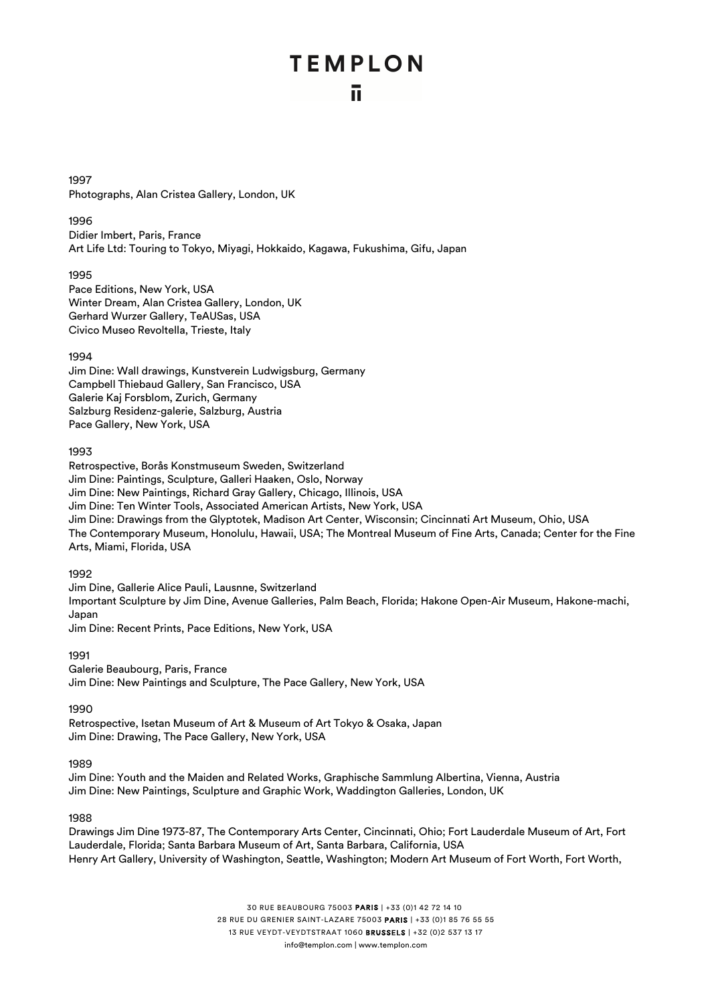1997 Photographs, Alan Cristea Gallery, London, UK

#### 1996

Didier Imbert, Paris, France Art Life Ltd: Touring to Tokyo, Miyagi, Hokkaido, Kagawa, Fukushima, Gifu, Japan

1995 Pace Editions, New York, USA Winter Dream, Alan Cristea Gallery, London, UK Gerhard Wurzer Gallery, TeAUSas, USA Civico Museo Revoltella, Trieste, Italy

#### 1994

Jim Dine: Wall drawings, Kunstverein Ludwigsburg, Germany Campbell Thiebaud Gallery, San Francisco, USA Galerie Kaj Forsblom, Zurich, Germany Salzburg Residenz-galerie, Salzburg, Austria Pace Gallery, New York, USA

#### 1993

Retrospective, Borås Konstmuseum Sweden, Switzerland Jim Dine: Paintings, Sculpture, Galleri Haaken, Oslo, Norway Jim Dine: New Paintings, Richard Gray Gallery, Chicago, Illinois, USA Jim Dine: Ten Winter Tools, Associated American Artists, New York, USA Jim Dine: Drawings from the Glyptotek, Madison Art Center, Wisconsin; Cincinnati Art Museum, Ohio, USA The Contemporary Museum, Honolulu, Hawaii, USA; The Montreal Museum of Fine Arts, Canada; Center for the Fine Arts, Miami, Florida, USA

#### 1992

Jim Dine, Gallerie Alice Pauli, Lausnne, Switzerland Important Sculpture by Jim Dine, Avenue Galleries, Palm Beach, Florida; Hakone Open-Air Museum, Hakone-machi, Japan Jim Dine: Recent Prints, Pace Editions, New York, USA

#### 1991

Galerie Beaubourg, Paris, France Jim Dine: New Paintings and Sculpture, The Pace Gallery, New York, USA

1990

Retrospective, Isetan Museum of Art & Museum of Art Tokyo & Osaka, Japan Jim Dine: Drawing, The Pace Gallery, New York, USA

#### 1989

Jim Dine: Youth and the Maiden and Related Works, Graphische Sammlung Albertina, Vienna, Austria Jim Dine: New Paintings, Sculpture and Graphic Work, Waddington Galleries, London, UK

#### 1988

Drawings Jim Dine 1973-87, The Contemporary Arts Center, Cincinnati, Ohio; Fort Lauderdale Museum of Art, Fort Lauderdale, Florida; Santa Barbara Museum of Art, Santa Barbara, California, USA Henry Art Gallery, University of Washington, Seattle, Washington; Modern Art Museum of Fort Worth, Fort Worth,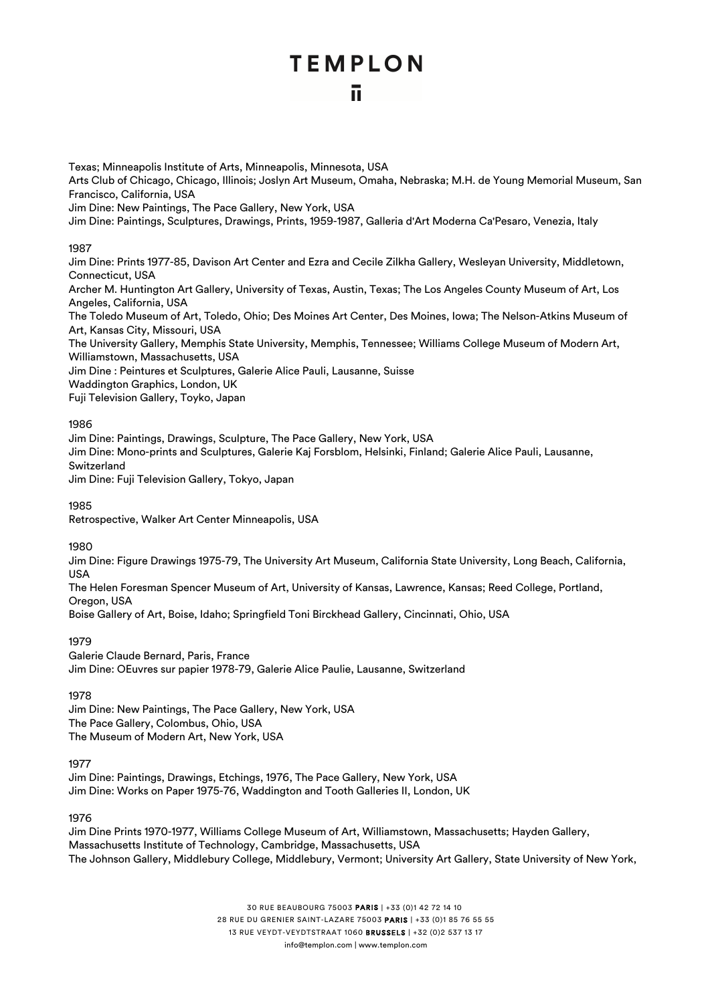#### ū

Texas; Minneapolis Institute of Arts, Minneapolis, Minnesota, USA Arts Club of Chicago, Chicago, Illinois; Joslyn Art Museum, Omaha, Nebraska; M.H. de Young Memorial Museum, San Francisco, California, USA Jim Dine: New Paintings, The Pace Gallery, New York, USA Jim Dine: Paintings, Sculptures, Drawings, Prints, 1959-1987, Galleria d'Art Moderna Ca'Pesaro, Venezia, Italy 1987 Jim Dine: Prints 1977-85, Davison Art Center and Ezra and Cecile Zilkha Gallery, Wesleyan University, Middletown, Connecticut, USA Archer M. Huntington Art Gallery, University of Texas, Austin, Texas; The Los Angeles County Museum of Art, Los Angeles, California, USA The Toledo Museum of Art, Toledo, Ohio; Des Moines Art Center, Des Moines, Iowa; The Nelson-Atkins Museum of Art, Kansas City, Missouri, USA The University Gallery, Memphis State University, Memphis, Tennessee; Williams College Museum of Modern Art, Williamstown, Massachusetts, USA Jim Dine : Peintures et Sculptures, Galerie Alice Pauli, Lausanne, Suisse Waddington Graphics, London, UK Fuji Television Gallery, Toyko, Japan 1986 Jim Dine: Paintings, Drawings, Sculpture, The Pace Gallery, New York, USA Jim Dine: Mono-prints and Sculptures, Galerie Kaj Forsblom, Helsinki, Finland; Galerie Alice Pauli, Lausanne, Switzerland Jim Dine: Fuji Television Gallery, Tokyo, Japan

1985

Retrospective, Walker Art Center Minneapolis, USA

1980

Jim Dine: Figure Drawings 1975-79, The University Art Museum, California State University, Long Beach, California, USA

The Helen Foresman Spencer Museum of Art, University of Kansas, Lawrence, Kansas; Reed College, Portland, Oregon, USA

Boise Gallery of Art, Boise, Idaho; Springfield Toni Birckhead Gallery, Cincinnati, Ohio, USA

1979

Galerie Claude Bernard, Paris, France Jim Dine: OEuvres sur papier 1978-79, Galerie Alice Paulie, Lausanne, Switzerland

1978

Jim Dine: New Paintings, The Pace Gallery, New York, USA The Pace Gallery, Colombus, Ohio, USA The Museum of Modern Art, New York, USA

1977

Jim Dine: Paintings, Drawings, Etchings, 1976, The Pace Gallery, New York, USA Jim Dine: Works on Paper 1975-76, Waddington and Tooth Galleries II, London, UK

1976

Jim Dine Prints 1970-1977, Williams College Museum of Art, Williamstown, Massachusetts; Hayden Gallery, Massachusetts Institute of Technology, Cambridge, Massachusetts, USA The Johnson Gallery, Middlebury College, Middlebury, Vermont; University Art Gallery, State University of New York,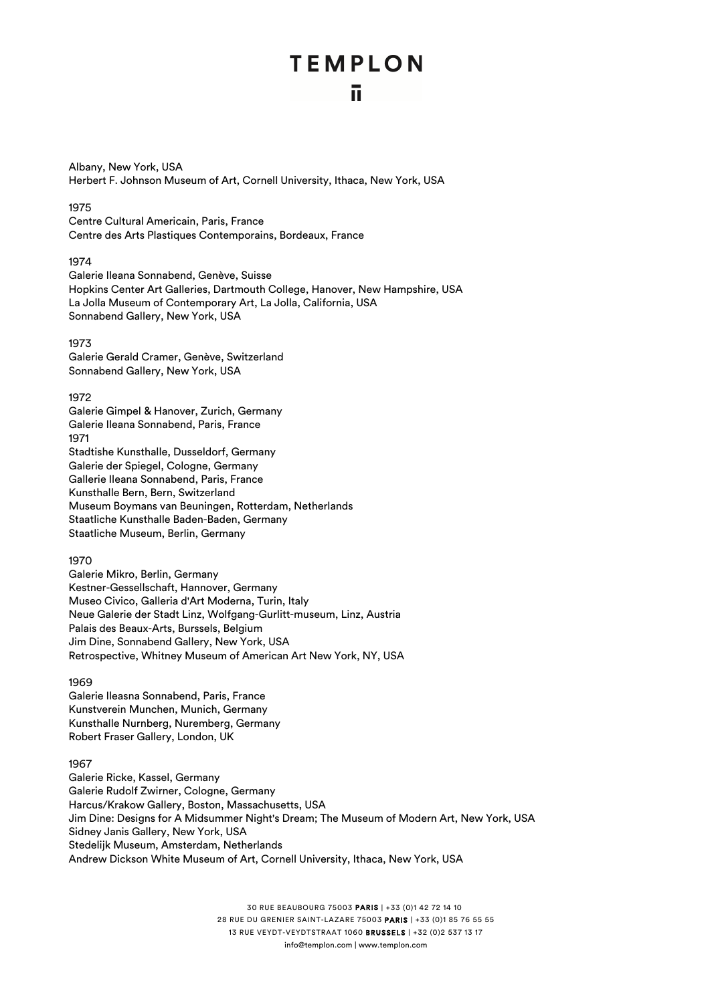Albany, New York, USA Herbert F. Johnson Museum of Art, Cornell University, Ithaca, New York, USA

#### 1975

Centre Cultural Americain, Paris, France Centre des Arts Plastiques Contemporains, Bordeaux, France

#### 1974

Galerie Ileana Sonnabend, Genève, Suisse Hopkins Center Art Galleries, Dartmouth College, Hanover, New Hampshire, USA La Jolla Museum of Contemporary Art, La Jolla, California, USA Sonnabend Gallery, New York, USA

#### 1973

Galerie Gerald Cramer, Genève, Switzerland Sonnabend Gallery, New York, USA

#### 1972

Galerie Gimpel & Hanover, Zurich, Germany Galerie Ileana Sonnabend, Paris, France 1971 Stadtishe Kunsthalle, Dusseldorf, Germany Galerie der Spiegel, Cologne, Germany Gallerie Ileana Sonnabend, Paris, France Kunsthalle Bern, Bern, Switzerland Museum Boymans van Beuningen, Rotterdam, Netherlands Staatliche Kunsthalle Baden-Baden, Germany Staatliche Museum, Berlin, Germany

#### 1970

Galerie Mikro, Berlin, Germany Kestner-Gessellschaft, Hannover, Germany Museo Civico, Galleria d'Art Moderna, Turin, Italy Neue Galerie der Stadt Linz, Wolfgang-Gurlitt-museum, Linz, Austria Palais des Beaux-Arts, Burssels, Belgium Jim Dine, Sonnabend Gallery, New York, USA Retrospective, Whitney Museum of American Art New York, NY, USA

#### 1969

Galerie Ileasna Sonnabend, Paris, France Kunstverein Munchen, Munich, Germany Kunsthalle Nurnberg, Nuremberg, Germany Robert Fraser Gallery, London, UK

#### 1967

Galerie Ricke, Kassel, Germany Galerie Rudolf Zwirner, Cologne, Germany Harcus/Krakow Gallery, Boston, Massachusetts, USA Jim Dine: Designs for A Midsummer Night's Dream; The Museum of Modern Art, New York, USA Sidney Janis Gallery, New York, USA Stedelijk Museum, Amsterdam, Netherlands Andrew Dickson White Museum of Art, Cornell University, Ithaca, New York, USA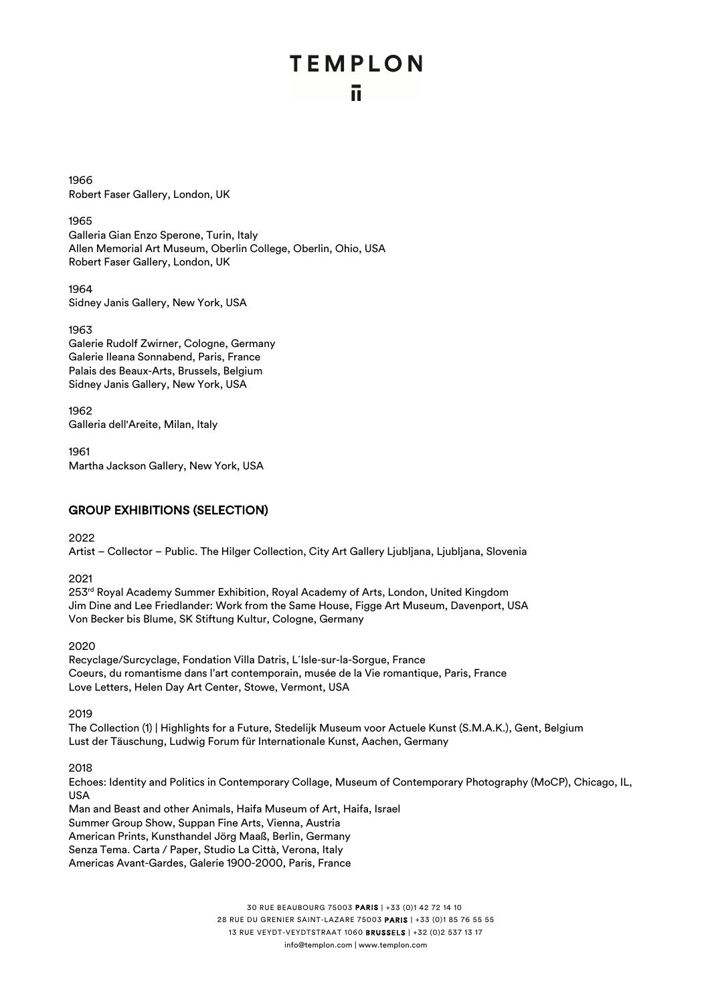1966 Robert Faser Gallery, London, UK

1965

Galleria Gian Enzo Sperone, Turin, Italy Allen Memorial Art Museum, Oberlin College, Oberlin, Ohio, USA Robert Faser Gallery, London, UK

1964 Sidney Janis Gallery, New York, USA

1963

Galerie Rudolf Zwirner, Cologne, Germany Galerie Ileana Sonnabend, Paris, France Palais des Beaux-Arts, Brussels, Belgium Sidney Janis Gallery, New York, USA

1962 Galleria dell'Areite, Milan, Italy

1961

Martha Jackson Gallery, New York, USA

#### GROUP EXHIBITIONS (SELECTION)

2022

Artist – Collector – Public. The Hilger Collection, City Art Gallery Ljubljana, Ljubljana, Slovenia

2021

253<sup>rd</sup> Royal Academy Summer Exhibition, Royal Academy of Arts, London, United Kingdom Jim Dine and Lee Friedlander: Work from the Same House, Figge Art Museum, Davenport, USA Von Becker bis Blume, SK Stiftung Kultur, Cologne, Germany

2020

Recyclage/Surcyclage, Fondation Villa Datris, L´Isle-sur-la-Sorgue, France Coeurs, du romantisme dans l'art contemporain, musée de la Vie romantique, Paris, France Love Letters, Helen Day Art Center, Stowe, Vermont, USA

2019

The Collection (1) | Highlights for a Future, Stedelijk Museum voor Actuele Kunst (S.M.A.K.), Gent, Belgium Lust der Täuschung, Ludwig Forum für Internationale Kunst, Aachen, Germany

2018

Echoes: Identity and Politics in Contemporary Collage, Museum of Contemporary Photography (MoCP), Chicago, IL, USA

Man and Beast and other Animals, Haifa Museum of Art, Haifa, Israel Summer Group Show, Suppan Fine Arts, Vienna, Austria American Prints, Kunsthandel Jörg Maaß, Berlin, Germany Senza Tema. Carta / Paper, Studio La Città, Verona, Italy Americas Avant-Gardes, Galerie 1900-2000, Paris, France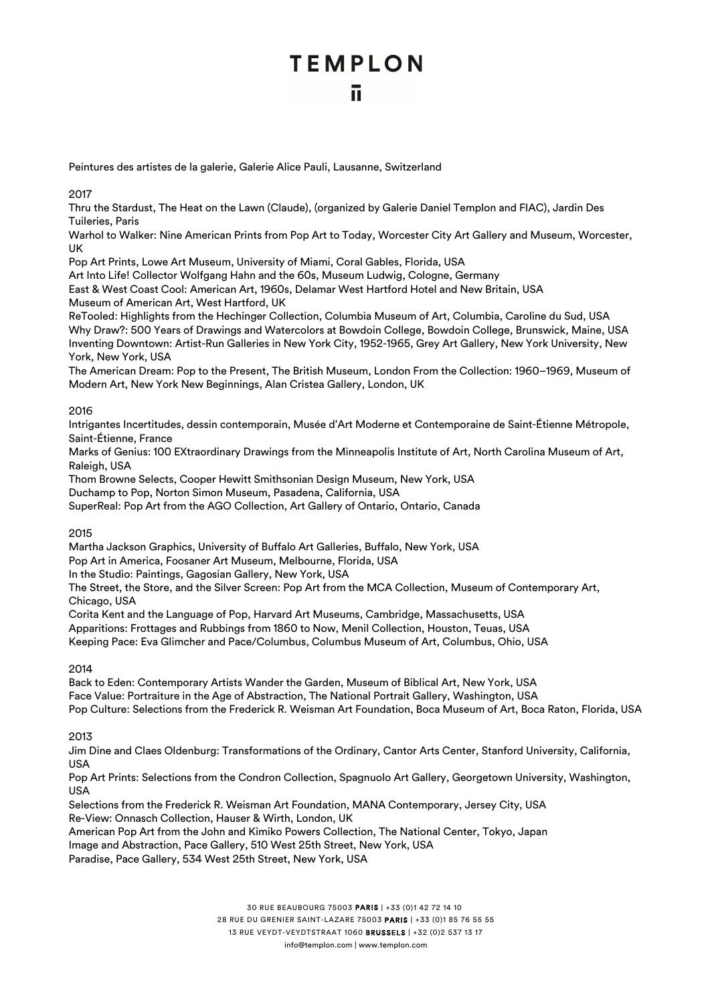Peintures des artistes de la galerie, Galerie Alice Pauli, Lausanne, Switzerland

#### 2017

Thru the Stardust, The Heat on the Lawn (Claude), (organized by Galerie Daniel Templon and FIAC), Jardin Des Tuileries, Paris

Warhol to Walker: Nine American Prints from Pop Art to Today, Worcester City Art Gallery and Museum, Worcester, UK

Pop Art Prints, Lowe Art Museum, University of Miami, Coral Gables, Florida, USA

Art Into Life! Collector Wolfgang Hahn and the 60s, Museum Ludwig, Cologne, Germany

East & West Coast Cool: American Art, 1960s, Delamar West Hartford Hotel and New Britain, USA Museum of American Art, West Hartford, UK

ReTooled: Highlights from the Hechinger Collection, Columbia Museum of Art, Columbia, Caroline du Sud, USA Why Draw?: 500 Years of Drawings and Watercolors at Bowdoin College, Bowdoin College, Brunswick, Maine, USA Inventing Downtown: Artist-Run Galleries in New York City, 1952-1965, Grey Art Gallery, New York University, New York, New York, USA

The American Dream: Pop to the Present, The British Museum, London From the Collection: 1960–1969, Museum of Modern Art, New York New Beginnings, Alan Cristea Gallery, London, UK

#### 2016

Intrigantes Incertitudes, dessin contemporain, Musée d'Art Moderne et Contemporaine de Saint-Étienne Métropole, Saint-Étienne, France

Marks of Genius: 100 EXtraordinary Drawings from the Minneapolis Institute of Art, North Carolina Museum of Art, Raleigh, USA

Thom Browne Selects, Cooper Hewitt Smithsonian Design Museum, New York, USA

Duchamp to Pop, Norton Simon Museum, Pasadena, California, USA

SuperReal: Pop Art from the AGO Collection, Art Gallery of Ontario, Ontario, Canada

#### 2015

Martha Jackson Graphics, University of Buffalo Art Galleries, Buffalo, New York, USA

Pop Art in America, Foosaner Art Museum, Melbourne, Florida, USA

In the Studio: Paintings, Gagosian Gallery, New York, USA

The Street, the Store, and the Silver Screen: Pop Art from the MCA Collection, Museum of Contemporary Art, Chicago, USA

Corita Kent and the Language of Pop, Harvard Art Museums, Cambridge, Massachusetts, USA Apparitions: Frottages and Rubbings from 1860 to Now, Menil Collection, Houston, Teuas, USA Keeping Pace: Eva Glimcher and Pace/Columbus, Columbus Museum of Art, Columbus, Ohio, USA

#### 2014

Back to Eden: Contemporary Artists Wander the Garden, Museum of Biblical Art, New York, USA Face Value: Portraiture in the Age of Abstraction, The National Portrait Gallery, Washington, USA Pop Culture: Selections from the Frederick R. Weisman Art Foundation, Boca Museum of Art, Boca Raton, Florida, USA

2013

Jim Dine and Claes Oldenburg: Transformations of the Ordinary, Cantor Arts Center, Stanford University, California, USA

Pop Art Prints: Selections from the Condron Collection, Spagnuolo Art Gallery, Georgetown University, Washington, USA

Selections from the Frederick R. Weisman Art Foundation, MANA Contemporary, Jersey City, USA Re-View: Onnasch Collection, Hauser & Wirth, London, UK

American Pop Art from the John and Kimiko Powers Collection, The National Center, Tokyo, Japan

Image and Abstraction, Pace Gallery, 510 West 25th Street, New York, USA

Paradise, Pace Gallery, 534 West 25th Street, New York, USA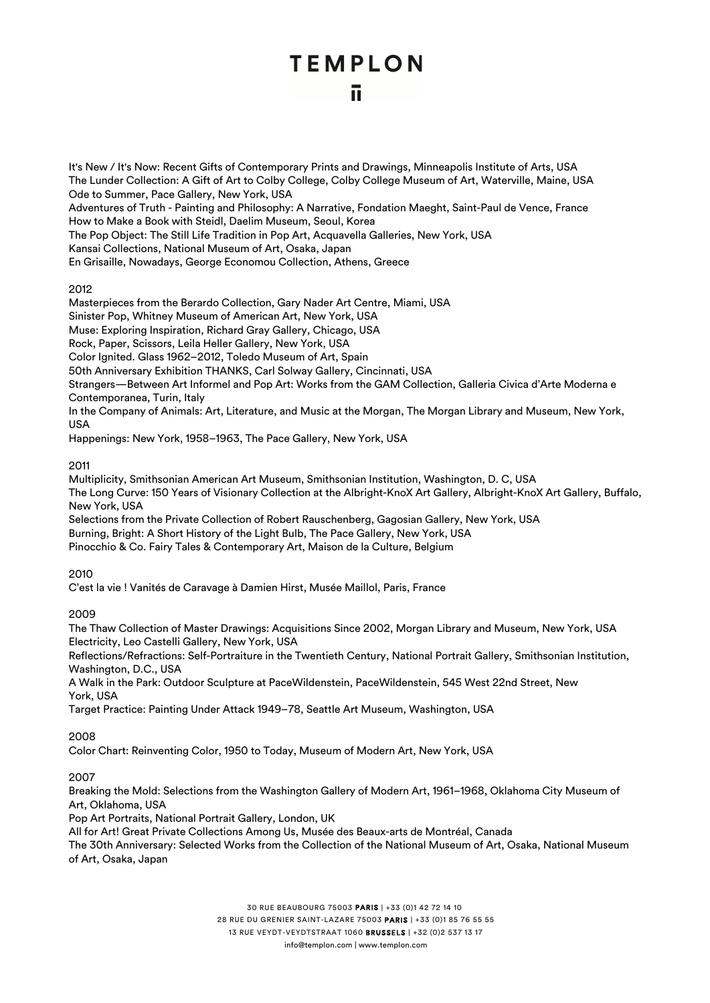It's New / It's Now: Recent Gifts of Contemporary Prints and Drawings, Minneapolis Institute of Arts, USA The Lunder Collection: A Gift of Art to Colby College, Colby College Museum of Art, Waterville, Maine, USA Ode to Summer, Pace Gallery, New York, USA Adventures of Truth - Painting and Philosophy: A Narrative, Fondation Maeght, Saint-Paul de Vence, France How to Make a Book with Steidl, Daelim Museum, Seoul, Korea The Pop Object: The Still Life Tradition in Pop Art, Acquavella Galleries, New York, USA Kansai Collections, National Museum of Art, Osaka, Japan En Grisaille, Nowadays, George Economou Collection, Athens, Greece

#### 2012

Masterpieces from the Berardo Collection, Gary Nader Art Centre, Miami, USA Sinister Pop, Whitney Museum of American Art, New York, USA Muse: Exploring Inspiration, Richard Gray Gallery, Chicago, USA Rock, Paper, Scissors, Leila Heller Gallery, New York, USA Color Ignited. Glass 1962–2012, Toledo Museum of Art, Spain 50th Anniversary Exhibition THANKS, Carl Solway Gallery, Cincinnati, USA Strangers—Between Art Informel and Pop Art: Works from the GAM Collection, Galleria Civica d'Arte Moderna e

Contemporanea, Turin, Italy

In the Company of Animals: Art, Literature, and Music at the Morgan, The Morgan Library and Museum, New York, USA

Happenings: New York, 1958–1963, The Pace Gallery, New York, USA

#### 2011

Multiplicity, Smithsonian American Art Museum, Smithsonian Institution, Washington, D. C, USA The Long Curve: 150 Years of Visionary Collection at the Albright-KnoX Art Gallery, Albright-KnoX Art Gallery, Buffalo, New York, USA

Selections from the Private Collection of Robert Rauschenberg, Gagosian Gallery, New York, USA Burning, Bright: A Short History of the Light Bulb, The Pace Gallery, New York, USA

Pinocchio & Co. Fairy Tales & Contemporary Art, Maison de la Culture, Belgium

#### 2010

C'est la vie ! Vanités de Caravage à Damien Hirst, Musée Maillol, Paris, France

#### 2009

The Thaw Collection of Master Drawings: Acquisitions Since 2002, Morgan Library and Museum, New York, USA Electricity, Leo Castelli Gallery, New York, USA

Reflections/Refractions: Self-Portraiture in the Twentieth Century, National Portrait Gallery, Smithsonian Institution, Washington, D.C., USA

A Walk in the Park: Outdoor Sculpture at PaceWildenstein, PaceWildenstein, 545 West 22nd Street, New York, USA

Target Practice: Painting Under Attack 1949–78, Seattle Art Museum, Washington, USA

#### 2008

Color Chart: Reinventing Color, 1950 to Today, Museum of Modern Art, New York, USA

#### 2007

Breaking the Mold: Selections from the Washington Gallery of Modern Art, 1961–1968, Oklahoma City Museum of Art, Oklahoma, USA

Pop Art Portraits, National Portrait Gallery, London, UK

All for Art! Great Private Collections Among Us, Musée des Beaux-arts de Montréal, Canada

The 30th Anniversary: Selected Works from the Collection of the National Museum of Art, Osaka, National Museum of Art, Osaka, Japan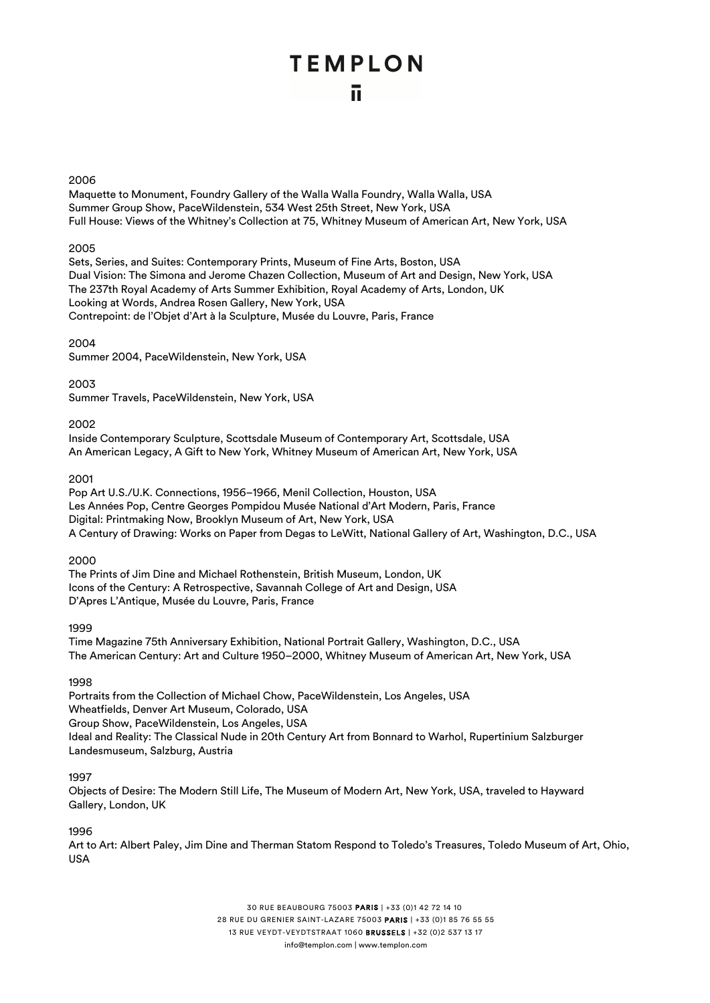#### 2006

Maquette to Monument, Foundry Gallery of the Walla Walla Foundry, Walla Walla, USA Summer Group Show, PaceWildenstein, 534 West 25th Street, New York, USA Full House: Views of the Whitney's Collection at 75, Whitney Museum of American Art, New York, USA

#### 2005

Sets, Series, and Suites: Contemporary Prints, Museum of Fine Arts, Boston, USA Dual Vision: The Simona and Jerome Chazen Collection, Museum of Art and Design, New York, USA The 237th Royal Academy of Arts Summer Exhibition, Royal Academy of Arts, London, UK Looking at Words, Andrea Rosen Gallery, New York, USA Contrepoint: de l'Objet d'Art à la Sculpture, Musée du Louvre, Paris, France

#### 2004

Summer 2004, PaceWildenstein, New York, USA

#### 2003

Summer Travels, PaceWildenstein, New York, USA

#### 2002

Inside Contemporary Sculpture, Scottsdale Museum of Contemporary Art, Scottsdale, USA An American Legacy, A Gift to New York, Whitney Museum of American Art, New York, USA

#### 2001

Pop Art U.S./U.K. Connections, 1956–1966, Menil Collection, Houston, USA Les Années Pop, Centre Georges Pompidou Musée National d'Art Modern, Paris, France Digital: Printmaking Now, Brooklyn Museum of Art, New York, USA A Century of Drawing: Works on Paper from Degas to LeWitt, National Gallery of Art, Washington, D.C., USA

#### 2000

The Prints of Jim Dine and Michael Rothenstein, British Museum, London, UK Icons of the Century: A Retrospective, Savannah College of Art and Design, USA D'Apres L'Antique, Musée du Louvre, Paris, France

#### 1999

Time Magazine 75th Anniversary Exhibition, National Portrait Gallery, Washington, D.C., USA The American Century: Art and Culture 1950–2000, Whitney Museum of American Art, New York, USA

#### 1998

Portraits from the Collection of Michael Chow, PaceWildenstein, Los Angeles, USA Wheatfields, Denver Art Museum, Colorado, USA Group Show, PaceWildenstein, Los Angeles, USA Ideal and Reality: The Classical Nude in 20th Century Art from Bonnard to Warhol, Rupertinium Salzburger Landesmuseum, Salzburg, Austria

#### 1997

Objects of Desire: The Modern Still Life, The Museum of Modern Art, New York, USA, traveled to Hayward Gallery, London, UK

#### 1996

Art to Art: Albert Paley, Jim Dine and Therman Statom Respond to Toledo's Treasures, Toledo Museum of Art, Ohio, USA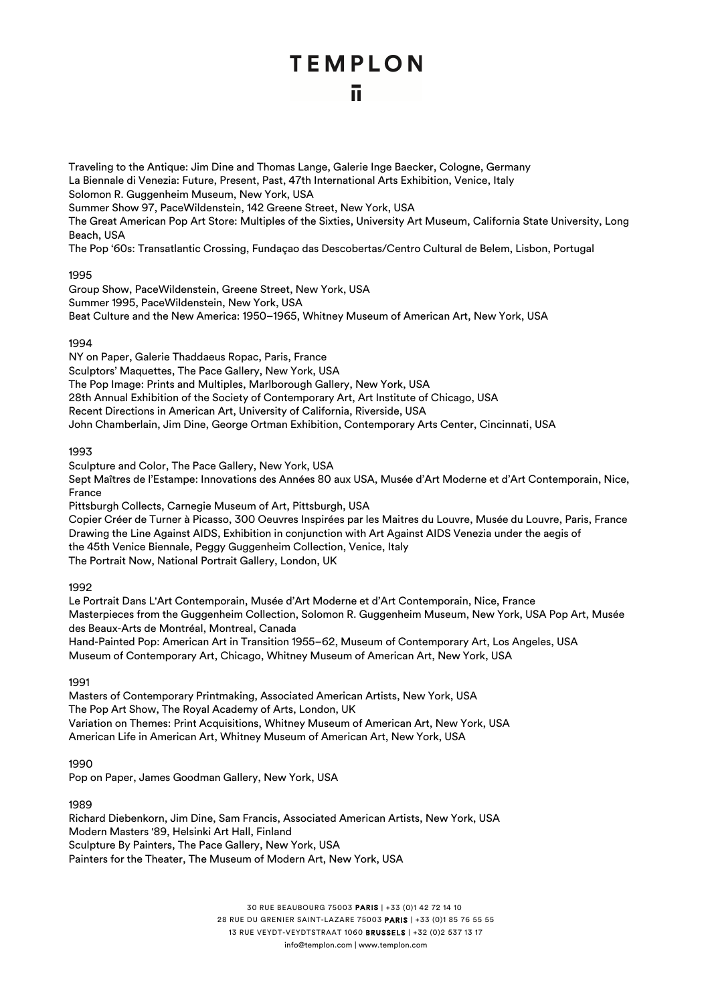Traveling to the Antique: Jim Dine and Thomas Lange, Galerie Inge Baecker, Cologne, Germany La Biennale di Venezia: Future, Present, Past, 47th International Arts Exhibition, Venice, Italy Solomon R. Guggenheim Museum, New York, USA Summer Show 97, PaceWildenstein, 142 Greene Street, New York, USA The Great American Pop Art Store: Multiples of the Sixties, University Art Museum, California State University, Long Beach, USA The Pop '60s: Transatlantic Crossing, Fundaçao das Descobertas/Centro Cultural de Belem, Lisbon, Portugal

1995

Group Show, PaceWildenstein, Greene Street, New York, USA Summer 1995, PaceWildenstein, New York, USA Beat Culture and the New America: 1950–1965, Whitney Museum of American Art, New York, USA

#### 1994

NY on Paper, Galerie Thaddaeus Ropac, Paris, France Sculptors' Maquettes, The Pace Gallery, New York, USA The Pop Image: Prints and Multiples, Marlborough Gallery, New York, USA 28th Annual Exhibition of the Society of Contemporary Art, Art Institute of Chicago, USA Recent Directions in American Art, University of California, Riverside, USA John Chamberlain, Jim Dine, George Ortman Exhibition, Contemporary Arts Center, Cincinnati, USA

1993

Sculpture and Color, The Pace Gallery, New York, USA Sept Maîtres de l'Estampe: Innovations des Années 80 aux USA, Musée d'Art Moderne et d'Art Contemporain, Nice, France

Pittsburgh Collects, Carnegie Museum of Art, Pittsburgh, USA

Copier Créer de Turner à Picasso, 300 Oeuvres Inspirées par les Maitres du Louvre, Musée du Louvre, Paris, France Drawing the Line Against AIDS, Exhibition in conjunction with Art Against AIDS Venezia under the aegis of the 45th Venice Biennale, Peggy Guggenheim Collection, Venice, Italy The Portrait Now, National Portrait Gallery, London, UK

1992

Le Portrait Dans L'Art Contemporain, Musée d'Art Moderne et d'Art Contemporain, Nice, France Masterpieces from the Guggenheim Collection, Solomon R. Guggenheim Museum, New York, USA Pop Art, Musée des Beaux-Arts de Montréal, Montreal, Canada Hand-Painted Pop: American Art in Transition 1955–62, Museum of Contemporary Art, Los Angeles, USA Museum of Contemporary Art, Chicago, Whitney Museum of American Art, New York, USA

1991

Masters of Contemporary Printmaking, Associated American Artists, New York, USA The Pop Art Show, The Royal Academy of Arts, London, UK Variation on Themes: Print Acquisitions, Whitney Museum of American Art, New York, USA American Life in American Art, Whitney Museum of American Art, New York, USA

1990

Pop on Paper, James Goodman Gallery, New York, USA

1989

Richard Diebenkorn, Jim Dine, Sam Francis, Associated American Artists, New York, USA Modern Masters '89, Helsinki Art Hall, Finland Sculpture By Painters, The Pace Gallery, New York, USA Painters for the Theater, The Museum of Modern Art, New York, USA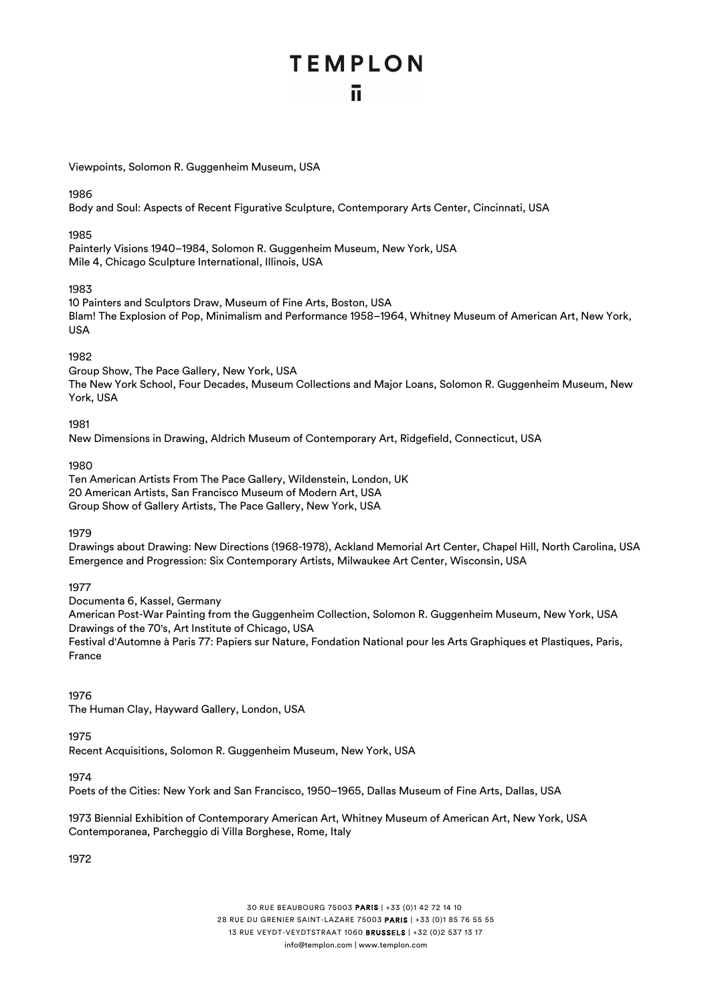Viewpoints, Solomon R. Guggenheim Museum, USA

1986

Body and Soul: Aspects of Recent Figurative Sculpture, Contemporary Arts Center, Cincinnati, USA

#### 1985

Painterly Visions 1940–1984, Solomon R. Guggenheim Museum, New York, USA Mile 4, Chicago Sculpture International, Illinois, USA

#### 1983

10 Painters and Sculptors Draw, Museum of Fine Arts, Boston, USA Blam! The Explosion of Pop, Minimalism and Performance 1958–1964, Whitney Museum of American Art, New York, USA

#### 1982

Group Show, The Pace Gallery, New York, USA The New York School, Four Decades, Museum Collections and Major Loans, Solomon R. Guggenheim Museum, New York, USA

#### 1981

New Dimensions in Drawing, Aldrich Museum of Contemporary Art, Ridgefield, Connecticut, USA

#### 1980

Ten American Artists From The Pace Gallery, Wildenstein, London, UK 20 American Artists, San Francisco Museum of Modern Art, USA Group Show of Gallery Artists, The Pace Gallery, New York, USA

#### 1979

Drawings about Drawing: New Directions (1968-1978), Ackland Memorial Art Center, Chapel Hill, North Carolina, USA Emergence and Progression: Six Contemporary Artists, Milwaukee Art Center, Wisconsin, USA

#### 1977

Documenta 6, Kassel, Germany American Post-War Painting from the Guggenheim Collection, Solomon R. Guggenheim Museum, New York, USA Drawings of the 70's, Art Institute of Chicago, USA Festival d'Automne à Paris 77: Papiers sur Nature, Fondation National pour les Arts Graphiques et Plastiques, Paris, France

#### 1976

The Human Clay, Hayward Gallery, London, USA

#### 1975

Recent Acquisitions, Solomon R. Guggenheim Museum, New York, USA

#### 1974

Poets of the Cities: New York and San Francisco, 1950–1965, Dallas Museum of Fine Arts, Dallas, USA

1973 Biennial Exhibition of Contemporary American Art, Whitney Museum of American Art, New York, USA Contemporanea, Parcheggio di Villa Borghese, Rome, Italy

1972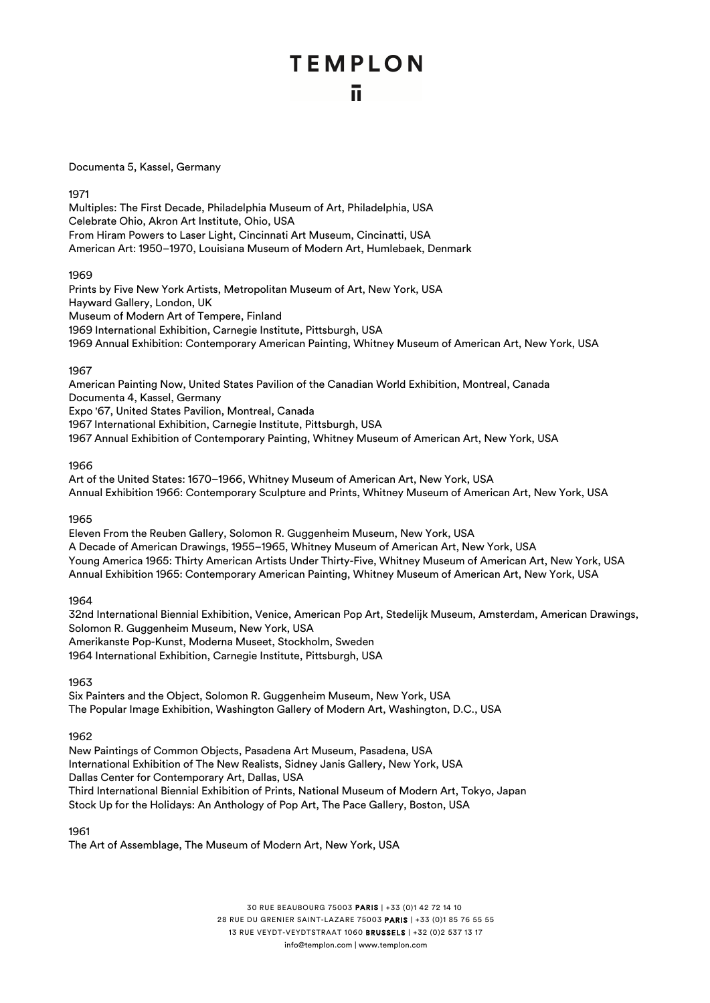#### Documenta 5, Kassel, Germany

1971

Multiples: The First Decade, Philadelphia Museum of Art, Philadelphia, USA Celebrate Ohio, Akron Art Institute, Ohio, USA From Hiram Powers to Laser Light, Cincinnati Art Museum, Cincinatti, USA American Art: 1950–1970, Louisiana Museum of Modern Art, Humlebaek, Denmark

1969

Prints by Five New York Artists, Metropolitan Museum of Art, New York, USA Hayward Gallery, London, UK Museum of Modern Art of Tempere, Finland 1969 International Exhibition, Carnegie Institute, Pittsburgh, USA 1969 Annual Exhibition: Contemporary American Painting, Whitney Museum of American Art, New York, USA

#### 1967

American Painting Now, United States Pavilion of the Canadian World Exhibition, Montreal, Canada Documenta 4, Kassel, Germany Expo '67, United States Pavilion, Montreal, Canada 1967 International Exhibition, Carnegie Institute, Pittsburgh, USA 1967 Annual Exhibition of Contemporary Painting, Whitney Museum of American Art, New York, USA

#### 1966

Art of the United States: 1670–1966, Whitney Museum of American Art, New York, USA Annual Exhibition 1966: Contemporary Sculpture and Prints, Whitney Museum of American Art, New York, USA

#### 1965

Eleven From the Reuben Gallery, Solomon R. Guggenheim Museum, New York, USA A Decade of American Drawings, 1955–1965, Whitney Museum of American Art, New York, USA Young America 1965: Thirty American Artists Under Thirty-Five, Whitney Museum of American Art, New York, USA Annual Exhibition 1965: Contemporary American Painting, Whitney Museum of American Art, New York, USA

#### 1964

32nd International Biennial Exhibition, Venice, American Pop Art, Stedelijk Museum, Amsterdam, American Drawings, Solomon R. Guggenheim Museum, New York, USA Amerikanste Pop-Kunst, Moderna Museet, Stockholm, Sweden 1964 International Exhibition, Carnegie Institute, Pittsburgh, USA

1963

Six Painters and the Object, Solomon R. Guggenheim Museum, New York, USA The Popular Image Exhibition, Washington Gallery of Modern Art, Washington, D.C., USA

#### 1962

New Paintings of Common Objects, Pasadena Art Museum, Pasadena, USA International Exhibition of The New Realists, Sidney Janis Gallery, New York, USA Dallas Center for Contemporary Art, Dallas, USA Third International Biennial Exhibition of Prints, National Museum of Modern Art, Tokyo, Japan Stock Up for the Holidays: An Anthology of Pop Art, The Pace Gallery, Boston, USA

1961

The Art of Assemblage, The Museum of Modern Art, New York, USA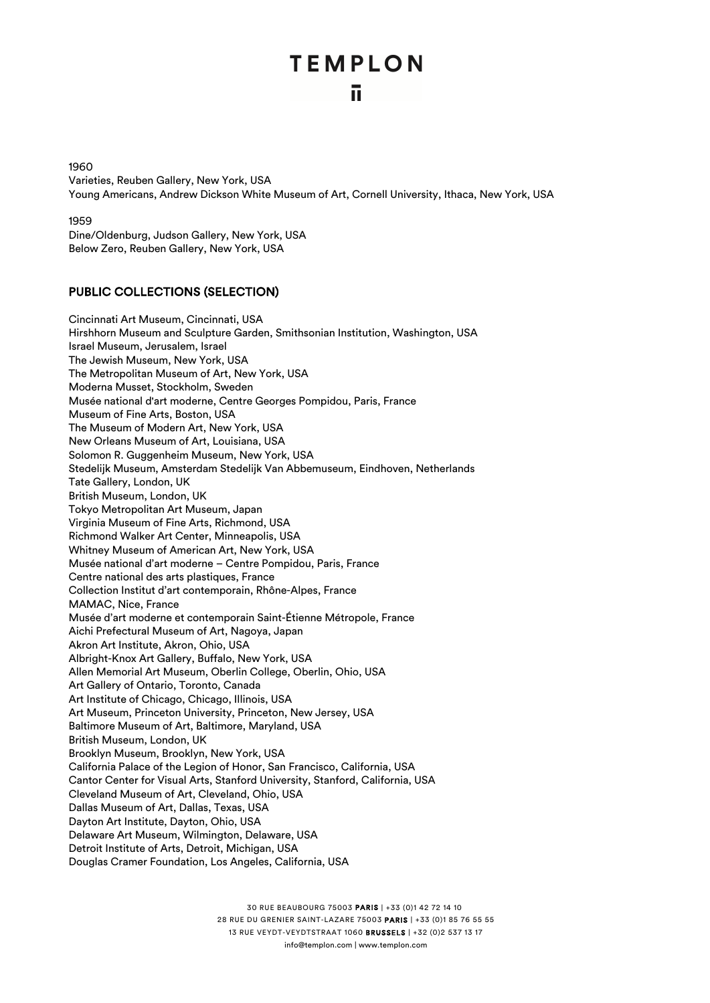$1960$ Varieties, Reuben Gallery, New York, USA Young Americans, Andrew Dickson White Museum of Art, Cornell University, Ithaca, New York, USA

1959 Dine/Oldenburg, Judson Gallery, New York, USA Below Zero, Reuben Gallery, New York, USA

#### PUBLIC COLLECTIONS (SELECTION)

Cincinnati Art Museum, Cincinnati, USA Hirshhorn Museum and Sculpture Garden, Smithsonian Institution, Washington, USA Israel Museum, Jerusalem, Israel The Jewish Museum, New York, USA The Metropolitan Museum of Art, New York, USA Moderna Musset, Stockholm, Sweden Musée national d'art moderne, Centre Georges Pompidou, Paris, France Museum of Fine Arts, Boston, USA The Museum of Modern Art, New York, USA New Orleans Museum of Art, Louisiana, USA Solomon R. Guggenheim Museum, New York, USA Stedelijk Museum, Amsterdam Stedelijk Van Abbemuseum, Eindhoven, Netherlands Tate Gallery, London, UK British Museum, London, UK Tokyo Metropolitan Art Museum, Japan Virginia Museum of Fine Arts, Richmond, USA Richmond Walker Art Center, Minneapolis, USA Whitney Museum of American Art, New York, USA Musée national d'art moderne – Centre Pompidou, Paris, France Centre national des arts plastiques, France Collection Institut d'art contemporain, Rhône-Alpes, France MAMAC, Nice, France Musée d'art moderne et contemporain Saint-Étienne Métropole, France Aichi Prefectural Museum of Art, Nagoya, Japan Akron Art Institute, Akron, Ohio, USA Albright-Knox Art Gallery, Buffalo, New York, USA Allen Memorial Art Museum, Oberlin College, Oberlin, Ohio, USA Art Gallery of Ontario, Toronto, Canada Art Institute of Chicago, Chicago, Illinois, USA Art Museum, Princeton University, Princeton, New Jersey, USA Baltimore Museum of Art, Baltimore, Maryland, USA British Museum, London, UK Brooklyn Museum, Brooklyn, New York, USA California Palace of the Legion of Honor, San Francisco, California, USA Cantor Center for Visual Arts, Stanford University, Stanford, California, USA Cleveland Museum of Art, Cleveland, Ohio, USA Dallas Museum of Art, Dallas, Texas, USA Dayton Art Institute, Dayton, Ohio, USA Delaware Art Museum, Wilmington, Delaware, USA Detroit Institute of Arts, Detroit, Michigan, USA Douglas Cramer Foundation, Los Angeles, California, USA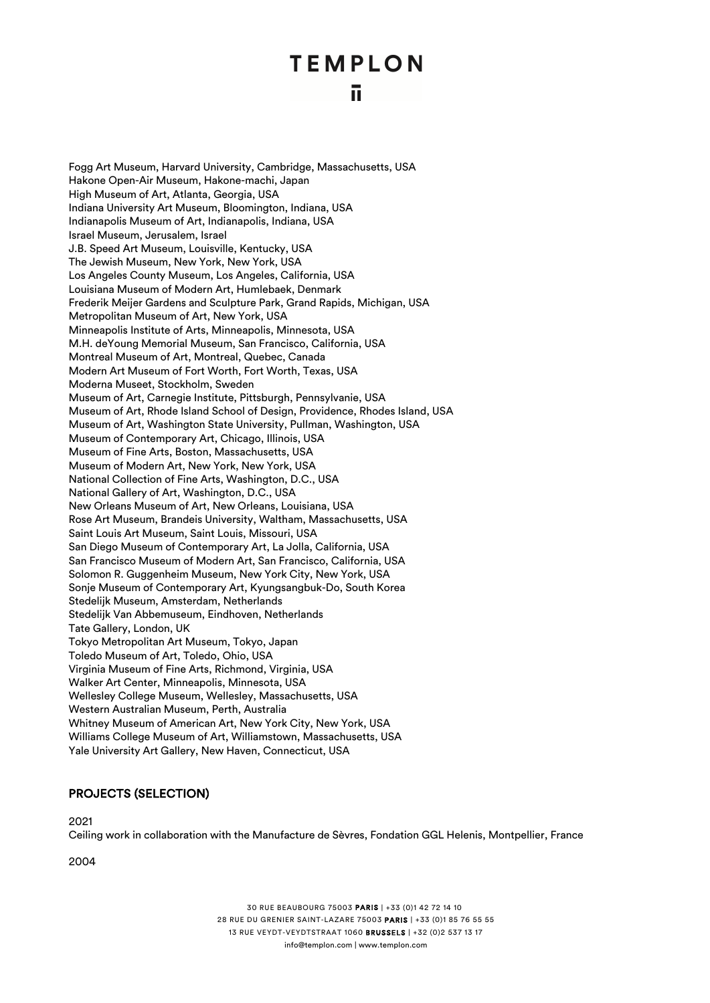Fogg Art Museum, Harvard University, Cambridge, Massachusetts, USA Hakone Open-Air Museum, Hakone-machi, Japan High Museum of Art, Atlanta, Georgia, USA Indiana University Art Museum, Bloomington, Indiana, USA Indianapolis Museum of Art, Indianapolis, Indiana, USA Israel Museum, Jerusalem, Israel J.B. Speed Art Museum, Louisville, Kentucky, USA The Jewish Museum, New York, New York, USA Los Angeles County Museum, Los Angeles, California, USA Louisiana Museum of Modern Art, Humlebaek, Denmark Frederik Meijer Gardens and Sculpture Park, Grand Rapids, Michigan, USA Metropolitan Museum of Art, New York, USA Minneapolis Institute of Arts, Minneapolis, Minnesota, USA M.H. deYoung Memorial Museum, San Francisco, California, USA Montreal Museum of Art, Montreal, Quebec, Canada Modern Art Museum of Fort Worth, Fort Worth, Texas, USA Moderna Museet, Stockholm, Sweden Museum of Art, Carnegie Institute, Pittsburgh, Pennsylvanie, USA Museum of Art, Rhode Island School of Design, Providence, Rhodes Island, USA Museum of Art, Washington State University, Pullman, Washington, USA Museum of Contemporary Art, Chicago, Illinois, USA Museum of Fine Arts, Boston, Massachusetts, USA Museum of Modern Art, New York, New York, USA National Collection of Fine Arts, Washington, D.C., USA National Gallery of Art, Washington, D.C., USA New Orleans Museum of Art, New Orleans, Louisiana, USA Rose Art Museum, Brandeis University, Waltham, Massachusetts, USA Saint Louis Art Museum, Saint Louis, Missouri, USA San Diego Museum of Contemporary Art, La Jolla, California, USA San Francisco Museum of Modern Art, San Francisco, California, USA Solomon R. Guggenheim Museum, New York City, New York, USA Sonje Museum of Contemporary Art, Kyungsangbuk-Do, South Korea Stedelijk Museum, Amsterdam, Netherlands Stedelijk Van Abbemuseum, Eindhoven, Netherlands Tate Gallery, London, UK Tokyo Metropolitan Art Museum, Tokyo, Japan Toledo Museum of Art, Toledo, Ohio, USA Virginia Museum of Fine Arts, Richmond, Virginia, USA Walker Art Center, Minneapolis, Minnesota, USA Wellesley College Museum, Wellesley, Massachusetts, USA Western Australian Museum, Perth, Australia Whitney Museum of American Art, New York City, New York, USA Williams College Museum of Art, Williamstown, Massachusetts, USA Yale University Art Gallery, New Haven, Connecticut, USA

#### PROJECTS (SELECTION)

2021

Ceiling work in collaboration with the Manufacture de Sèvres, Fondation GGL Helenis, Montpellier, France

2004